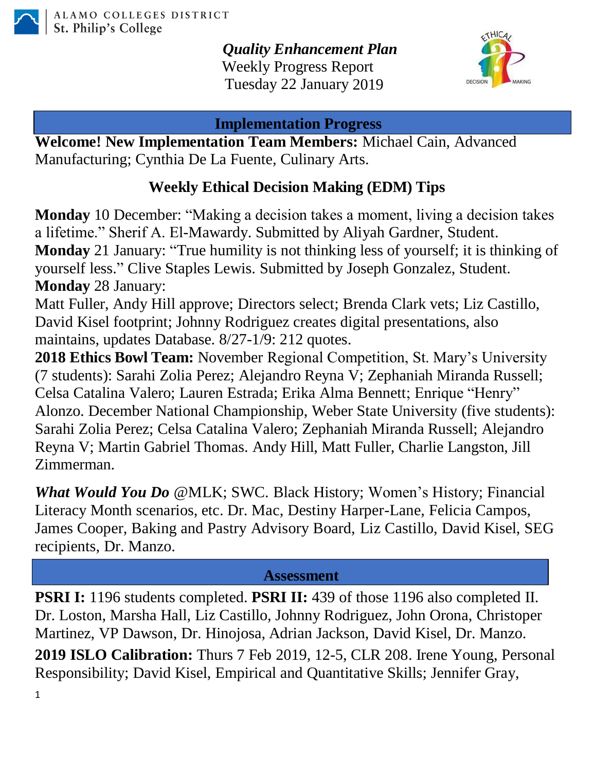

*Quality Enhancement Plan* Weekly Progress Report Tuesday 22 January 2019



#### **Implementation Progress**

**Welcome! New Implementation Team Members:** Michael Cain, Advanced Manufacturing; Cynthia De La Fuente, Culinary Arts.

# **Weekly Ethical Decision Making (EDM) Tips**

**Monday** 10 December: "Making a decision takes a moment, living a decision takes a lifetime." Sherif A. El-Mawardy. Submitted by Aliyah Gardner, Student. **Monday** 21 January: "True humility is not thinking less of yourself; it is thinking of yourself less." Clive Staples Lewis. Submitted by Joseph Gonzalez, Student. **Monday** 28 January:

Matt Fuller, Andy Hill approve; Directors select; Brenda Clark vets; Liz Castillo, David Kisel footprint; Johnny Rodriguez creates digital presentations, also maintains, updates Database. 8/27-1/9: 212 quotes.

**2018 Ethics Bowl Team:** November Regional Competition, St. Mary's University (7 students): Sarahi Zolia Perez; Alejandro Reyna V; Zephaniah Miranda Russell; Celsa Catalina Valero; Lauren Estrada; Erika Alma Bennett; Enrique "Henry" Alonzo. December National Championship, Weber State University (five students): Sarahi Zolia Perez; Celsa Catalina Valero; Zephaniah Miranda Russell; Alejandro Reyna V; Martin Gabriel Thomas. Andy Hill, Matt Fuller, Charlie Langston, Jill Zimmerman.

*What Would You Do* @MLK; SWC. Black History; Women's History; Financial Literacy Month scenarios, etc. Dr. Mac, Destiny Harper-Lane, Felicia Campos, James Cooper, Baking and Pastry Advisory Board, Liz Castillo, David Kisel, SEG recipients, Dr. Manzo.

## **Assessment**

1 **PSRI I:** 1196 students completed. **PSRI II:** 439 of those 1196 also completed II. Dr. Loston, Marsha Hall, Liz Castillo, Johnny Rodriguez, John Orona, Christoper Martinez, VP Dawson, Dr. Hinojosa, Adrian Jackson, David Kisel, Dr. Manzo. **2019 ISLO Calibration:** Thurs 7 Feb 2019, 12-5, CLR 208. Irene Young, Personal Responsibility; David Kisel, Empirical and Quantitative Skills; Jennifer Gray,